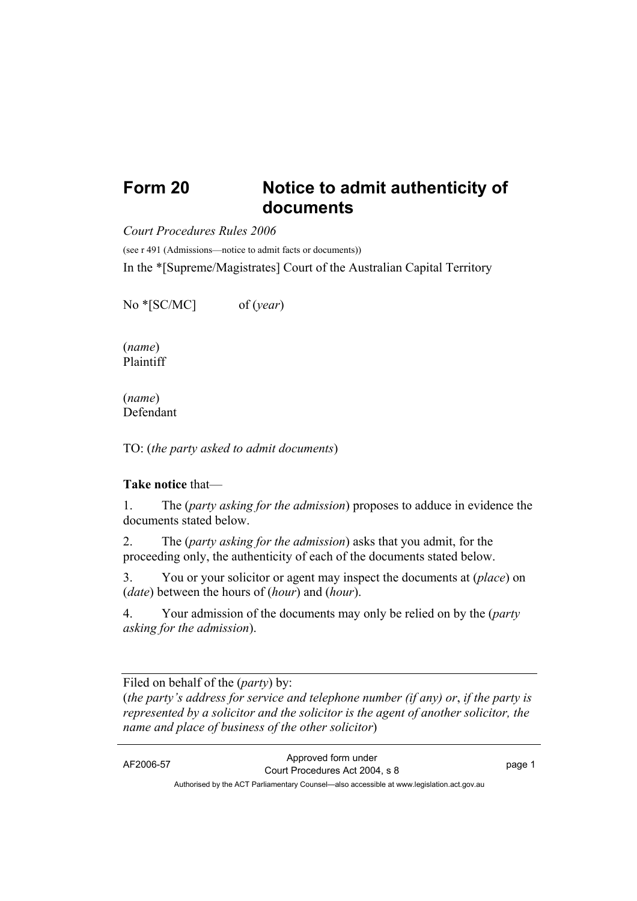## **Form 20 Notice to admit authenticity of documents**

*Court Procedures Rules 2006*

(see r 491 (Admissions—notice to admit facts or documents))

In the \*[Supreme/Magistrates] Court of the Australian Capital Territory

No \*[SC/MC] of (*year*)

(*name*) Plaintiff

(*name*) Defendant

TO: (*the party asked to admit documents*)

## **Take notice** that—

1. The (*party asking for the admission*) proposes to adduce in evidence the documents stated below.

2. The (*party asking for the admission*) asks that you admit, for the proceeding only, the authenticity of each of the documents stated below.

3. You or your solicitor or agent may inspect the documents at (*place*) on (*date*) between the hours of (*hour*) and (*hour*).

4. Your admission of the documents may only be relied on by the (*party asking for the admission*).

Filed on behalf of the (*party*) by:

(*the party's address for service and telephone number (if any) or*, *if the party is represented by a solicitor and the solicitor is the agent of another solicitor, the name and place of business of the other solicitor*)

AF2006-57 Approved form under Proved form under<br>
Court Procedures Act 2004, s 8 Authorised by the ACT Parliamentary Counsel—also accessible at www.legislation.act.gov.au